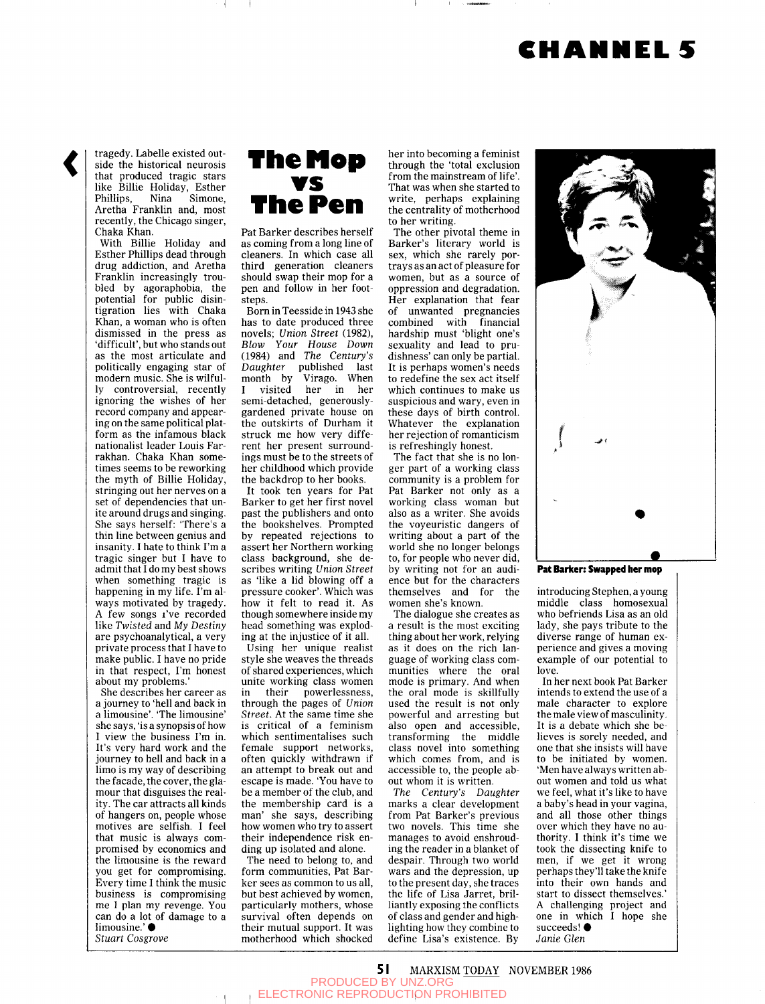## **CHANNELS**



tragedy. Labelle existed outside the historical neurosis that produced tragic stars like Billie Holiday, Esther Phillips, Nina Simone, Aretha Franklin and, most recently, the Chicago singer, Chaka Khan.

With Billie Holiday and Esther Phillips dead through drug addiction, and Aretha Franklin increasingly troubled by agoraphobia, the potential for public disintigration lies with Chaka Khan, a woman who is often dismissed in the press as 'difficult', but who stands out as the most articulate and politically engaging star of modern music. She is wilfully controversial, recently ignoring the wishes of her record company and appearing on the same political platform as the infamous black nationalist leader Louis Farrakhan. Chaka Khan sometimes seems to be reworking the myth of Billie Holiday, stringing out her nerves on a set of dependencies that unite around drugs and singing. She says herself: 'There's a thin line between genius and insanity. I hate to think I'm a  $t$ risamiy. I nate to timik I in a ragic singer but I have to admit that  $\overline{I}$  do my best shows<br>when something tragic is when something tragic is mappening in my life.  $\frac{1}{2}$  m and ways motivated by tragedy. A few songs *i've* recorded like Twisted and My Destiny are psychoanalytical, a very private process that I have to make public. I have no pride in that respect, I'm honest<br>about my problems.'

She describes her career as a journey to 'hell and back in a limousine'. 'The limousine' she says, 'is a synopsis of how I view the business I'm in. It's very hard work and the journey to hell and back in a limo is my way of describing the facade, the cover, the glamour that disguises the reality. The car attracts all kinds of hangers on, people whose motives are selfish. I feel that music is always compromised by economics and the limousine is the reward you get for compromising. Every time I think the music business is compromising me I plan my revenge. You can do a lot of damage to a limousine.' ● *Stuart Cosgrove* 



Pat Barker describes herself as coming from a long line of cleaners. In which case all third generation cleaners should swap their mop for a pen and follow in her footsteps.

Born in Teesside in 1943 she has to date produced three novels; *Union Street* (1982), *Blow Your House Down*  (1984) and *The Century's Daughter* published last month by Virago. When I visited her in her semi-detached, generouslygardened private house on the outskirts of Durham it struck me how very different her present surroundings must be to the streets of her childhood which provide the backdrop to her books.

It took ten years for Pat Barker to get her first novel past the publishers and onto the bookshelves. Prompted by repeated rejections to assert her Northern working class background, she describes writing *Union Street*  as 'like a lid blowing off a pressure cooker'. Which was how it felt to read it. As though somewhere inside my head something was exploding at the injustice of it all.

Using her unique realist style she weaves the threads of shared experiences, which unite working class women in their powerlessness, through the pages of *Union Street.* At the same time she is critical of a feminism which sentimentalises such female support networks, often quickly withdrawn if an attempt to break out and escape is made. 'You have to be a member of the club, and the membership card is a man' she says, describing how women who try to assert their independence risk ending up isolated and alone.

The need to belong to, and form communities, Pat Barker sees as common to us all, but best achieved by women, particularly mothers, whose survival often depends on their mutual support. It was motherhood which shocked

her into becoming a feminist through the 'total exclusion from the mainstream of life'. That was when she started to write, perhaps explaining the centrality of motherhood to her writing.

The other pivotal theme in Barker's literary world is sex, which she rarely portrays as an act of pleasure for women, but as a source of oppression and degradation. Her explanation that fear of unwanted pregnancies combined with financial hardship must 'blight one's sexuality and lead to prudishness' can only be partial. It is perhaps women's needs to redefine the sex act itself which continues to make us suspicious and wary, even in these days of birth control. Whatever the explanation her rejection of romanticism is refreshingly honest.

The fact that she is no longer part of a working class community is a problem for Pat Barker not only as a working class woman but also as a writer. She avoids the voyeuristic dangers of writing about a part of the world she no longer belongs to, for people who never did, by writing not for an audience but for the characters themselves and for the women she's known.

The dialogue she creates as a result is the most exciting thing about her work, relying as it does on the rich language of working class communities where the oral mode is primary. And when the oral mode is skillfully used the result is not only powerful and arresting but also open and accessible, transforming the middle class novel into something which comes from, and is accessible to, the people about whom it is written.

*The Century's Daughter*  marks a clear development from Pat Barker's previous two novels. This time she manages to avoid enshrouding the reader in a blanket of despair. Through two world wars and the depression, up to the present day, she traces the life of Lisa Jarret, brilliantly exposing the conflicts of class and gender and highlighting how they combine to define Lisa's existence. By



**Pat Barker: Swapped her mop** 

introducing Stephen, a young middle class homosexual who befriends Lisa as an old lady, she pays tribute to the diverse range of human experience and gives a moving example of our potential to love.

In her next book Pat Barker intends to extend the use of a male character to explore the male view of masculinity. It is a debate which she believes is sorely needed, and one that she insists will have to be initiated by women. 'Men have always written about women and told us what we feel, what it's like to have a baby's head in your vagina, and all those other things over which they have no authority. I think it's time we took the dissecting knife to men, if we get it wrong perhaps they'll take the knife into their own hands and start to dissect themselves.' A challenging project and A chanciging project and succeeds!  $\bullet$ *Janie Glen* 

**51** MARXISM TODAY NOVEMBER 1986 PRODUCED BY UNZ.ORG ELECTRONIC REPRODUCTION PROHIBITED